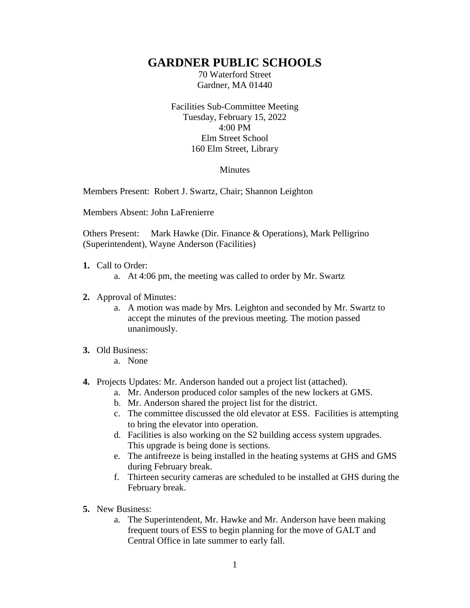## **GARDNER PUBLIC SCHOOLS**

70 Waterford Street Gardner, MA 01440

Facilities Sub-Committee Meeting Tuesday, February 15, 2022 4:00 PM Elm Street School 160 Elm Street, Library

## Minutes

Members Present: Robert J. Swartz, Chair; Shannon Leighton

Members Absent: John LaFrenierre

Others Present: Mark Hawke (Dir. Finance & Operations), Mark Pelligrino (Superintendent), Wayne Anderson (Facilities)

- **1.** Call to Order:
	- a. At 4:06 pm, the meeting was called to order by Mr. Swartz
- **2.** Approval of Minutes:
	- a. A motion was made by Mrs. Leighton and seconded by Mr. Swartz to accept the minutes of the previous meeting. The motion passed unanimously.

## **3.** Old Business:

- a. None
- **4.** Projects Updates: Mr. Anderson handed out a project list (attached).
	- a. Mr. Anderson produced color samples of the new lockers at GMS.
	- b. Mr. Anderson shared the project list for the district.
	- c. The committee discussed the old elevator at ESS. Facilities is attempting to bring the elevator into operation.
	- d. Facilities is also working on the S2 building access system upgrades. This upgrade is being done is sections.
	- e. The antifreeze is being installed in the heating systems at GHS and GMS during February break.
	- f. Thirteen security cameras are scheduled to be installed at GHS during the February break.
- **5.** New Business:
	- a. The Superintendent, Mr. Hawke and Mr. Anderson have been making frequent tours of ESS to begin planning for the move of GALT and Central Office in late summer to early fall.